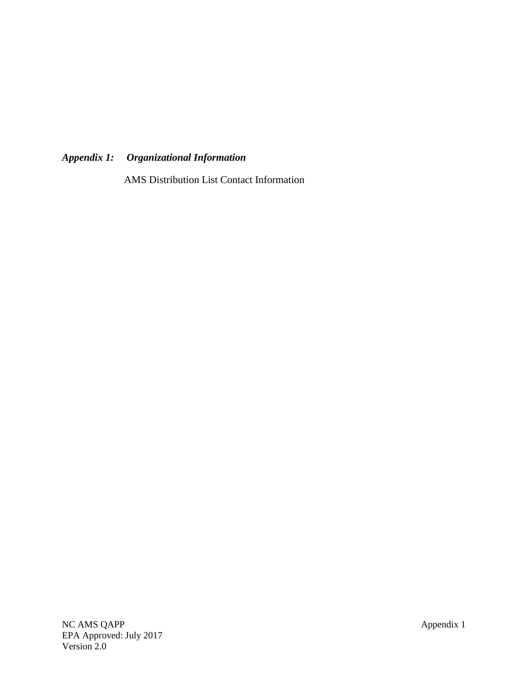## *Appendix 1: Organizational Information*

AMS Distribution List Contact Information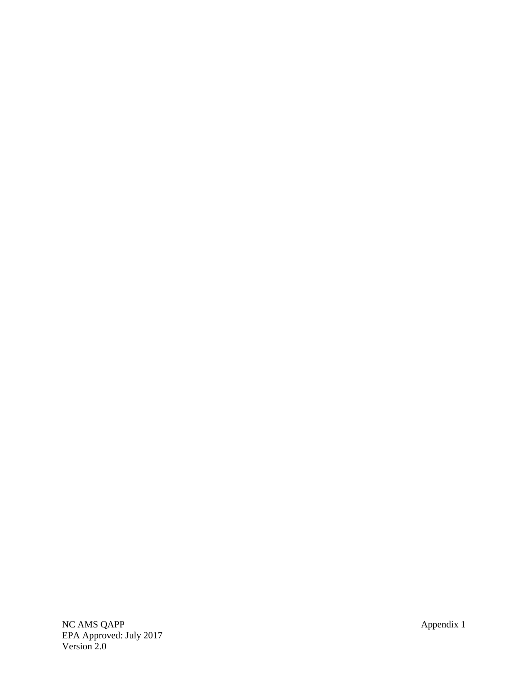NC AMS QAPP **Appendix 1** EPA Approved: July 2017 Version 2.0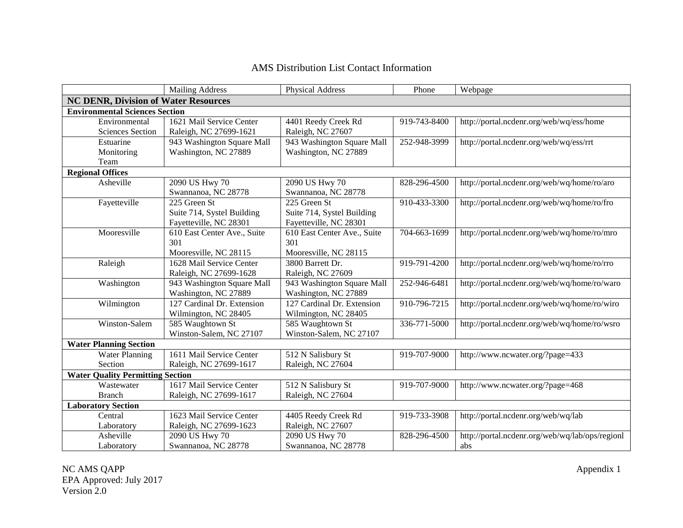## Mailing Address Physical Address Phone Webpage **NC DENR, Division of Water Resources Environmental Sciences Section** Environmental Sciences Section 1621 Mail Service Center Raleigh, NC 27699-1621 4401 Reedy Creek Rd Raleigh, NC 27607 919-743-8400 http://portal.ncdenr.org/web/wq/ess/home Estuarine Monitoring Team 943 Washington Square Mall Washington, NC 27889 943 Washington Square Mall Washington, NC 27889 252-948-3999 http://portal.ncdenr.org/web/wq/ess/rrt **Regional Offices** Asheville 2090 US Hwy 70 Swannanoa, NC 28778 2090 US Hwy 70 Swannanoa, NC 28778 828-296-4500 http://portal.ncdenr.org/web/wq/home/ro/aro Fayetteville 225 Green St Suite 714, Systel Building Fayetteville, NC 28301 225 Green St Suite 714, Systel Building Fayetteville, NC 28301 910-433-3300 http://portal.ncdenr.org/web/wq/home/ro/fro Mooresville 610 East Center Ave., Suite 301 Mooresville, NC 28115 610 East Center Ave., Suite 301 Mooresville, NC 28115 704-663-1699 http://portal.ncdenr.org/web/wq/home/ro/mro Raleigh 1628 Mail Service Center Raleigh, NC 27699-1628 3800 Barrett Dr. Raleigh, NC 27609 919-791-4200 http://portal.ncdenr.org/web/wq/home/ro/rro Washington | 943 Washington Square Mall Washington, NC 27889 943 Washington Square Mall Washington, NC 27889 252-946-6481 http://portal.ncdenr.org/web/wq/home/ro/waro Wilmington 127 Cardinal Dr. Extension Wilmington, NC 28405 127 Cardinal Dr. Extension Wilmington, NC 28405 910-796-7215 http://portal.ncdenr.org/web/wq/home/ro/wiro Winston-Salem 585 Waughtown St Winston-Salem, NC 27107 585 Waughtown St Winston-Salem, NC 27107 336-771-5000 http://portal.ncdenr.org/web/wq/home/ro/wsro **Water Planning Section** Water Planning Section 1611 Mail Service Center Raleigh, NC 27699-1617 512 N Salisbury St Raleigh, NC 27604 919-707-9000 http://www.ncwater.org/?page=433 **Water Quality Permitting Section** Wastewater Branch 1617 Mail Service Center Raleigh, NC 27699-1617 512 N Salisbury St Raleigh, NC 27604 919-707-9000 http://www.ncwater.org/?page=468 **Laboratory Section** Central Laboratory 1623 Mail Service Center Raleigh, NC 27699-1623 4405 Reedy Creek Rd Raleigh, NC 27607 919-733-3908 http://portal.ncdenr.org/web/wq/lab Asheville 2090 US Hwy 70 2090 US Hwy 70 828-296-4500 http://portal.ncdenr.org/web/wq/lab/ops/regionl

Swannanoa, NC 28778

## AMS Distribution List Contact Information

NC AMS QAPP Appendix 1 EPA Approved: July 2017 Version 2.0

Laboratory

Swannanoa, NC 28778

abs